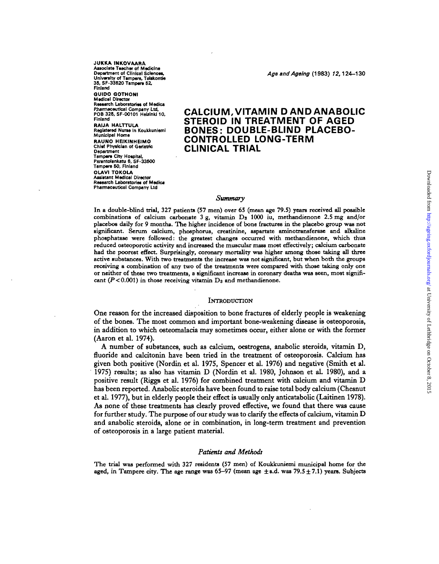**JUKKA INKOVAARA Associate Tsachsr of Msdicina Department of Clinical Sciences,<br>University of Tampere, Telskontie 36, SF-3362O Tamper\* 62, Finland QUIDO QOTHONI Medical Director Research Laboratories of Medlca** Chisf Physician of Geristric<br>Department<br>Tamp<del>are</del> City Hospital, Parantolankatu 6, SF-33500 **Tampere 50, Finland DLAVI TOKOLA Assistant Medical Director Research Laboratories of Medica Research Laboratories of Medics Pharmacsutical Company Ltd**

**Department of Clinical Sciences. Age and Ageing (1983) 12,124-130**

# **Fharmaceutical Company Ltd.**<br>POB 325, SF-00101 Helainki 10, **CALCIUM, VITAMIN D AND ANABOLIC**<br>Finland Finlend **STEROID IN TREATMENT OF AGED**<br>
RAIJA HALTTULA<br>
Registered Nutree in Koukkuniemi **BONFS · DOUBLE-BLIND PLACEBO** Registered Nurse In Koukkuniemi<br>Municipal Home<br> **ACOLLER AND LONG TERMS T ' S CONTROLLED LONG-TERM**

# *Summary*

In a double-blind trial, 327 patients (57 men) over 65 (mean age 79.5) years received all possible **combinations of calcium carbonate 3 g, vitamin Ds 1000 iu, methandienone 2.5 mg and/or placebos daily for 9 months. The higher incidence of bone fractures in the placebo group was not significant. Serum calcium, phosphorus, creatinine, aspartate aminotransferase and alkaline phosphatase were followed: the greatest changes occurred with methandienone, which thus reduced osteoporotic activity and increased the muscular mass most effectively; calcium carbonate** had the poorest effect. Surprisingly, coronary mortality was higher among those taking all three **active substances. With two treatments the increase was not significant, but when both the groups receiving a combination of any two of the treatments were compared with those taking only one or neither of these two treatments, a significant increase in coronary deaths was seen, most significant (P< 0.001) in those receiving vitamin Da and methandienone.**

#### **INTRODUCTION**

One reason for the increased disposition to bone fractures of elderly people is weakening of the bones. The most common and important bone-weakening disease is osteoporosis, in addition to which osteomalacia may sometimes occur, either alone or with the former (Aaron et al. 1974).

A number of substances, such as calcium, oestrogens, anabolic steroids, vitamin D, fluoride and calcitonin have been tried in the treatment of osteoporosis. Calcium has given both positive (Nordin et al. 1975, Spencer et al. 1976) and negative (Smith et al. 1975) results; as also has vitamin D (Nordin et al. 1980, Johnson et aL 1980), and a positive result (Riggs et al. 1976) for combined treatment with calcium and vitamin D has been reported. Anabolic steroids have been found to raise total body calcium (Chesnut et al. 1977), but in elderly people theif effect is usually only anticatabolic (Laitinen 1978). As none of these treatments has clearly proved effective, we found that there was cause for further study. The purpose of our study was to clarify the effects of calcium, vitamin D and anabolic steroids, alone or in combination, in long-term treatment and prevention of osteoporosis in a large patient material.

### *Patients and Methods*

**The trial was performed with 327 residents (57 men) of Koukkuniemi municipal home for the aged, in Tampere city. The age range was 65—97 (mean age ±s.d. was 79.5 ±7.1) years. Subjects**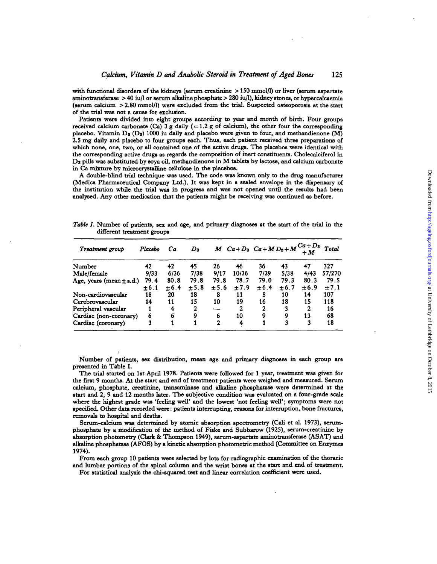with functional disorders of the kidneys (serum creatinine  $> 150$  mmol/l) or liver (serum aspartate **aminotrans f eras e > 4 0 iu/ 1 o r serum alkalin e phosphat e > 28 0 iu/1) , kidne y stones , o r hypercalcaemi a** (serum calcium > 2.80 mmol/I) were excluded from the trial. Suspected osteoporosis at the start **o f th e tria l wa s no t a caus e fo r exclusion .**

Patients were divided into eight groups according to year and month of birth. Four groups **received calcium carbonate** (Ca) 3 g daily (=1.2 g of calcium), the other four the corresponding placebo. Vitamin  $D_3$  (D<sub>3</sub>) 1000 iu daily and placebo were given to four, and methandienone (M) 2.5 mg daily and placebo to four groups each. Thus, each patient received three preparations of which none, one, two, or all contained one of the active drugs. The placebos were identical with **th e correspondin g activ e drug s a s regard s th e compositio n o f iner t constituents . Cholecalcifero l i n**  $D_3$  pills was substituted by soya oil, methandienone in M tablets by lactose, and calcium carbonate **i n C a mixtur e b y microcrystaUin e cellulos e i n th e placebos .**

A double-blind trial technique was used. The code was known only to the drug manufacturer (Medica Pharmaceutical Company Ltd.). It was kept in a sealed envelope in the dispensary of the institution while the trial was in progress and was not opened until the results had been **analysed . An y othe r medicatio n tha t th e patient s migh t b e receivin g wa s continue d a s before .**

| Treatment group              | Placebo | Cа   | $\boldsymbol{D_2}$ |              |       |       |       | $M Ca + D_3 Ca + M D_3 + M C_4 + D_3$ | Total     |
|------------------------------|---------|------|--------------------|--------------|-------|-------|-------|---------------------------------------|-----------|
| Number                       | 42      | 42   | 45                 | 26           | 46    | 36    | 43    | 47                                    | 327       |
| Male/female                  | 9/33    | 6/36 | 7/38               | 9/17         | 10/36 | 7/29  | 5/38  | 4/43                                  | 57/270    |
| Age, years (mean $\pm$ s.d.) | 79.4    | 80.8 | 79.8               | 79.8         | 78.7  | 79.0  | 79.3  | 80.3                                  | 79.5      |
|                              | $+6.1$  | ±6.4 | $+5.8$             | ± 5.6        | ±7.9  | ± 6.4 | ± 6.7 | ±6.9                                  | $\pm 7.1$ |
| Non-cardiovascular           | 18      | 20   | 18                 | 8            | 11    | 8     | 10    | 14                                    | 107       |
| Cerebrovascular              | 14      | 11   | 15                 | 10           | 19    | 16    | 18    | 15                                    | 118       |
| Peripheral vascular          |         | 4    | 2                  |              |       | 2     | 3     | 2                                     | 16        |
| Cardiac (non-coronary)       | 6       | 6    | 9                  | 6            | 10    | Q     | 9     | 13                                    | 68        |
| Cardiac (coronary)           | 3       |      |                    | $\mathbf{2}$ | 4     |       | 3     | 3                                     | 18        |

Table I. Number of patients, sex and age, and primary diagnoses at the start of the trial in the **differen t treatmen t group s**

Number of patients, sex distribution, mean age and primary diagnoses in each group are **presente d i n Tabl e I .**

The trial started on 1st April 1978. Patients were followed for 1 year, treatment was given for the first 9 months. At the start and end of treatment patients were weighed and measured. Serum **calcium , phosphate , creatinine , transaminas e an d alkalin e phosphatas e wer e determine d a t th e star t an d 2 , 9 an d 1 2 month s later . Th e subjectiv e conditio n wa s evaluate d o n a four-grad e scal e** where the highest grade was 'feeling well' and the lowest 'not feeling well'; symptoms were not **specified . Othe r dat a recorde d were : patient s interrupting , reason s fo r interruption , bon e fractures , removal s t o hospita l an d deaths .**

Serum-calcium was determined by atomic absorption spectrometry (Cali et al. 1973), serum**phosphate** by a modification of the method of Fiske and Subbarow (1925), serum-creatinine by **absorptio n photometr y (Clar k & Thompso n 1949) , serum-aspartat e aminotransferas e (ASAT ) an d alkalin e phosphatas e (AFOS ) b y a kineti c absorptio n photometri c metho d (Committe e o n Enzyme s 1974) .**

**Fro m eac h grou p 1 0 patient s wer e selecte d b y lot s fo r radiographi c examinatio n o f th e thoraci c** and lumbar portions of the spinal column and the wrist bones at the start and end of treatment. For statistical analysis the chi-squared test and linear correlation coefficient were used.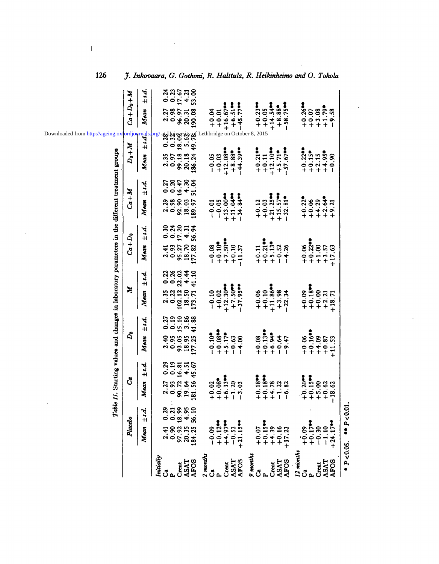|                      | Table                                                    |                             |                                                                          |                           |                                    | II. Starting values and changes in laboratory parameters in the different treatment groups | Downloaded from http://ageing.oxfordjou   |                                        |
|----------------------|----------------------------------------------------------|-----------------------------|--------------------------------------------------------------------------|---------------------------|------------------------------------|--------------------------------------------------------------------------------------------|-------------------------------------------|----------------------------------------|
|                      | Placebo                                                  | ්                           | $\mathbf{r}_2$                                                           | $\mathbf{z}$              | $Ca+D_3$                           | $Ca+M$                                                                                     | $D_3+M$                                   | $C_4 + D_3 + M$                        |
|                      | ±s.d.<br>Mean                                            | ±: d.<br>Mean               | ±: d.<br>Mean                                                            | $\pm$ s.d.<br>Mean        | Mean ±s.d.                         | ±: d.<br>$M$ eam                                                                           | $\frac{1}{3}$<br>$+1$<br>Mean             | ±: d.<br>Mean                          |
| Initially            | 0.29<br>2.41                                             | 0.29<br>2.27                | 0.27<br>2.40                                                             | 2.35                      | 0.30<br>2.41                       | 0.27<br>2.29                                                                               | org                                       | 0.24<br>2.27                           |
|                      |                                                          | 0.19<br>0.93                | 0.19                                                                     | ង<br>ខាងនិ<br>ខាង<br>0.22 | 0.93                               | 0.20<br>0.98                                                                               | $2.35$<br>0.97                            | 0.98                                   |
| ASAT<br><b>Creat</b> | $0.90$ 0.21<br>97.92 18.99<br>20.35 4.95<br>184.25 56.10 | 16.81<br>90.72<br>19.64     |                                                                          | 4.4<br>102.12<br>18.50    | $0.93$ 0.24<br>95.27 17.20         | 16.47<br>4.30<br>92.90<br>18.03                                                            | 99.18<br>20.18                            | $\frac{0.23}{17.67}$<br>96.97<br>20.31 |
| <b>AFOS</b>          |                                                          | $4.51$<br>$45.67$<br>181.56 | $15.10$<br>$3.88$<br>$41.88$<br>$0.95$<br>$93.05$<br>$18.95$<br>$177.25$ | 41.10<br>173.71           | $4.31$<br>56.34<br>18.70<br>177.82 | 51.04<br>189.97                                                                            | 002302<br>186.24                          | $4.21$<br>$53.00$<br>190.08            |
| 2 months             |                                                          |                             |                                                                          |                           |                                    |                                                                                            |                                           |                                        |
| ්                    | $80.0 -$                                                 | $+0.02$                     | $-0.10$ <sup>*</sup>                                                     | $-0.10$                   | $-0.08$                            | $-0.01$                                                                                    | $-0.05$                                   | 40.04                                  |
| p.                   | $+0.12$                                                  | $+0.08$                     | $+0.08$ <sup>04</sup>                                                    | $+0.02$                   | $+0.10$ <sup>*</sup><br>$+7.50$ ** | $+13.00$<br>$-0.05$                                                                        | $+12.08$<br>$+0.03$                       | $+0.01$                                |
| <b>ASAT</b><br>Creat | $+4.97$<br>$-0.53$                                       | $+6.33$<br>$-1.20$          | $+5.17$<br>$-0.63$                                                       | $+12.30**$<br>$+7.50$     | $+0.10$                            | $+11.04$                                                                                   | $+8.88$                                   | $+16.67$ <sup>**</sup><br>$+6.51$      |
| <b>AFOS</b>          | $+21.15$                                                 | 3.03<br>$\mathbf{I}$        | $-4.00$                                                                  | $-37.95$                  | $-11.37$                           | $-34.84$                                                                                   | Lethbridge on October 8, 2015<br>$-44.39$ | $-45.77$ **                            |
| 9 months             |                                                          |                             |                                                                          |                           |                                    |                                                                                            |                                           |                                        |
| ්                    | $+0.07$                                                  | $+0.18$                     | $+0.08$                                                                  | $+0.06$                   | $+0.11$                            | $+0.12$                                                                                    | $+0.21$                                   | $+0.23**$                              |
| $\mathbf{p}$         | $+0.15$                                                  | $+0.18$                     | $+0.13$                                                                  | $+0.10$                   | $+0.21$                            | $+0.03$                                                                                    | $+0.11$                                   | $+0.05$                                |
| Creat                | $+4.39$                                                  | $+4.78$                     | $+6.9 +$                                                                 | $+11.86$                  | $+5.13$ <sup><math>-</math></sup>  | $+21.25$                                                                                   | $+12.10$                                  | $+14.54$                               |
| <b>ASAT</b>          | $+0.16$                                                  | $-1.22$                     | $-0.64$                                                                  | $+3.98$                   | $-0.52$                            | $+15.57***$                                                                                | $+5.71$ *<br>-57.67**                     | $+8.88$                                |
| <b>AFOS</b>          | $+17.23$                                                 | $-6.82$                     | $-9.47$                                                                  | $-22.34$                  | $-4.26$                            | $-32.81$                                                                                   |                                           | $-58.75$                               |
| 12 months            |                                                          |                             |                                                                          |                           |                                    |                                                                                            |                                           |                                        |
| ථ්                   | $+0.09$<br>+0.17                                         | $+0.20$                     | $+0.06$<br>$+0.16$ **                                                    | $+0.09$                   | $+0.06$                            | $+0.22$                                                                                    | $+0.22$                                   | $+0.26$                                |
| $\mathbf{p}$         |                                                          | $+0.15$                     |                                                                          | $+0.18$                   | $+0.22$                            | $+0.06$                                                                                    | $+0.15$                                   | $+0.07$                                |
| <b>Creat</b>         | $-0.30$                                                  | $+5.00$                     | $+4.09$                                                                  | $+0.00$                   | $+1.00$<br>$+3.57$                 | $+4.29$                                                                                    | $+2.15$                                   | $+3.08$                                |
| <b>ASAT</b>          |                                                          | $+0.62$                     | $+0.87$                                                                  | $+2.21$                   |                                    | $+2.64$                                                                                    | $+4.95$                                   | $+1.79$                                |
| <b>AFOS</b>          | $+24.17$                                                 | $-18.62$                    | $+11.53$                                                                 | $+18.71$                  | $+17.63$                           | $+9.21$                                                                                    | $-0.90$                                   | $-9.58$                                |
| $P < 0.05$ .         | $P < 0.01$ .                                             |                             |                                                                          |                           |                                    |                                                                                            |                                           |                                        |

Inkovaara, G. Gothoni, R. Halttula, R. Heikinheimo and O. Tokola

 $\overline{a}$ 

126

 $\overline{1}$ 

 $\ddot{\phantom{a}}$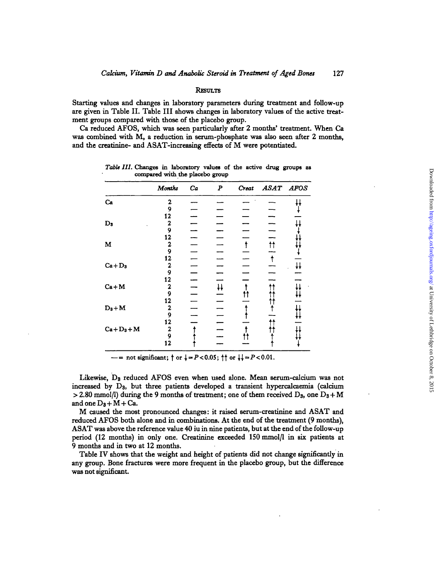# RESULT S

Starting values and changes in laboratory parameters during treatment and follow-up are given in Table II. Table III shows changes in laboratory values of the active treatmen t group s compare d wit h thos e of th e placeb o group .

Ca reduced AFOS, which was seen particularly after 2 months' treatment. When Ca wa s combine d wit h M , a reductio n i n serum-phosphat e wa s als o see n after 2 months , and the creatinine- and ASAT-increasing effects of M were potentiated.

|               | <b>Months</b>           | Ca | $\boldsymbol{P}$   | Creat      | ASAT AFOS           |   |
|---------------|-------------------------|----|--------------------|------------|---------------------|---|
| Ca            | 2                       |    |                    |            |                     |   |
|               | 9                       |    |                    |            |                     |   |
|               | 12                      |    |                    |            |                     |   |
| $D_3$         | $\mathbf{2}$            |    |                    |            |                     |   |
|               | 9                       |    |                    |            |                     |   |
|               | 12                      |    |                    |            |                     |   |
| M             | $\overline{\mathbf{2}}$ |    |                    | $\uparrow$ | $\uparrow \uparrow$ |   |
|               | $\boldsymbol{9}$        |    |                    |            |                     |   |
|               | 12                      |    |                    |            |                     |   |
| $Ca + D3$     | $\boldsymbol{2}$        |    |                    |            |                     | H |
|               | 9                       |    |                    |            |                     |   |
|               | 12                      |    |                    |            |                     |   |
| $Ca+M$        | $\mathbf{2}$            |    | $\ddagger\ddagger$ |            |                     |   |
|               | 9                       |    |                    |            |                     |   |
|               | 12                      |    |                    |            |                     |   |
| $D_8 + M$     | $\mathbf{2}$            |    |                    |            |                     |   |
|               | 9                       |    |                    |            |                     |   |
|               | 12                      |    |                    |            |                     |   |
| $Ca + D3 + M$ | $\bf 2$                 |    |                    |            |                     |   |
|               | $\overline{9}$          |    |                    |            |                     |   |
|               | 12                      |    |                    |            |                     |   |

Table III. Changes in laboratory values of the active drug groups as **compare d wit h th e placeb o grou p**

- not significant;  $\uparrow$  or  $\downarrow = P < 0.05$ ;  $\uparrow \uparrow$  or  $\downarrow \downarrow = P < 0.01$ .

Likewise, D<sub>8</sub> reduced AFOS even when used alone. Mean serum-calcium was not increase d b y Ds , bu t thre e patient s develope d a transien t hypercalcaemi a (calciu m > 2.80 mmol/l) during the 9 months of treatment; one of them received  $D_3$ , one  $D_3+M$ and one  $D_3+M+Ca$ .

M cause d th e mos t pronounce d changes : i t raise d serum-creatinin e an d ASA T an d reduced AFOS both alone and in combinations. At the end of the treatment (9 months), ASA T wa s abov e th e referenc e valu e 4 0 i u i n nin e patients , bu t a t th e en d of th e follow-u p period (12 months) in only one. Creatinine exceeded 150 mmol/l in six patients at 9 month s an d i n tw o a t 1 2 months .

Table IV shows that the weight and height of patients did not change significantly in any group. Bone fractures were more frequent in the placebo group, but the difference was not significant.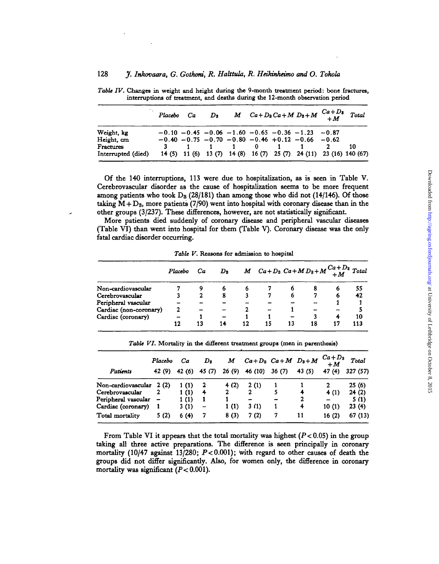|                                        | Placebo | Ca | $\mathbf{D}_{\mathbf{X}}$ |                  |              |                                                                                                                      | M $Ca + D_3 Ca + M D_3 + M$ $C_a + D_3$<br>+ M                     | Total |
|----------------------------------------|---------|----|---------------------------|------------------|--------------|----------------------------------------------------------------------------------------------------------------------|--------------------------------------------------------------------|-------|
| Weight, kg<br>Height, cm               |         |    |                           |                  |              | $-0.10 - 0.45 - 0.06 - 1.60 - 0.65 - 0.36 - 1.23 - 0.87$<br>$-0.40 - 0.75 - 0.70 - 0.80 - 0.46 + 0.12 - 0.66 - 0.62$ |                                                                    |       |
| <b>Fractures</b><br>Interrupted (died) |         |    |                           | $\blacksquare$ 1 | $\mathbf{0}$ |                                                                                                                      | 14 (5) 11 (6) 13 (7) 14 (8) 16 (7) 25 (7) 24 (11) 23 (16) 140 (67) | 10    |

*Table TV.* **Changes in weight and height during the 9-month treatment period: bone fractures, interruptions of treatment, and deaths during the 12-month observation period**

Of the 140 interruptions, 113 were due to hospitalization, as is seen in Table V. Cerebrovascular disorder as the cause of hospitalization seems to be more frequent among patients who took  $D_8$  (28/181) than among those who did not (14/146). Of those taking  $M + D_3$ , more patients (7/90) went into hospital with coronary disease than in the other groups (3/237). These differences, however, are not statistically significant.

More patients died suddenly of coronary disease and peripheral vascular diseases (Table VT) than went into hospital for them (Table V). Coronary disease was the only fatal cardiac disorder occurring.

*Table V.* **Reasons for admission to hospital**

|                        | Placebo | Ca | $\mathbf{D_2}$ |    | $M$ $Ca + D_3$ $Ca + M D_3 + M \frac{Ca + D_3}{+M}$ Total |    |    |    |     |
|------------------------|---------|----|----------------|----|-----------------------------------------------------------|----|----|----|-----|
| Non-cardiovascular     |         |    |                | b  |                                                           |    |    |    | 55  |
| Cerebrovascular        |         |    | 8              |    |                                                           | D  |    | 6  | 42  |
| Peripheral vascular    |         |    |                |    |                                                           |    | -  |    |     |
| Cardiac (non-coronary) | 2       |    |                |    |                                                           |    |    |    |     |
| Cardiac (coronary)     |         |    |                |    |                                                           |    |    |    | 10  |
|                        | 12      | 13 | 14             | 12 | 15                                                        | 13 | 18 | 17 | 113 |

|                          | Placebo | Ca     | $\boldsymbol{D_3}$ | М     |         | $Ca+D_3$ $Ca+M$ $D_3+M$ |       | $Ca+D_3$<br>$+M$ | Total   |
|--------------------------|---------|--------|--------------------|-------|---------|-------------------------|-------|------------------|---------|
| Patients                 | 42 (9)  | 42 (6) | 45 (7)             | 26(9) | 46 (10) | 36(7)                   | 43(5) | 47(4)            | 327(57) |
| Non-cardiovascular 2 (2) |         | 1(1)   |                    | 4(2)  | 2(1)    |                         |       |                  | 25(6)   |
| Cerebrovascular          |         | 1(1)   | 4                  |       | 2       |                         | 4     | 4(1)             | 24(2)   |
| Peripheral vascular      |         | 1(1)   |                    |       |         |                         | 2     |                  | 5(1)    |
| Cardiac (coronary)       |         | 3(1)   | -                  | 1(1)  | 3(1)    |                         | 4     | 10(1)            | 23(4)   |
| Total mortality          | 5(2)    | 6(4)   | 7                  | 8(3)  | 7 (2)   |                         | 11    | 16(2)            | 67 (13) |

*Table VI.* **Mortality in the different treatment groups (men in parenthesis)**

From Table VI it appears that the total mortality was highest *(P<* 0.05) in the group taking all three active preparations. The difference is seen principally in coronary mortality (10/47 against 13/280; *P<*0.001); with regard to other causes of death the groups did not differ significantly. Also, for women only, the difference in coronary mortality was significant *(P<* 0.001).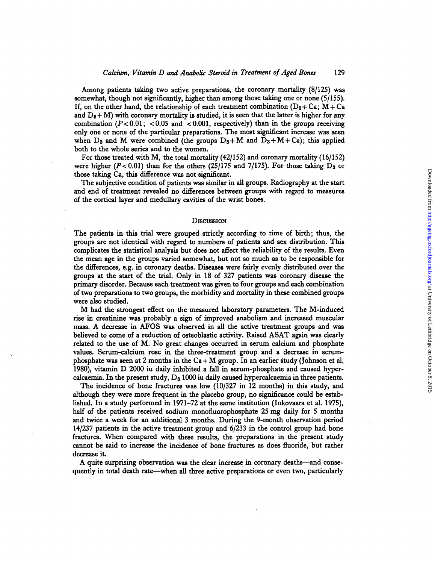Among patients taking two active preparations, the coronary mortality (8/125) was somewhat , thoug h no t significantly , highe r tha n amon g thos e takin g on e or non e (5/155) . If, on the other hand, the relationship of each treatment combination ( $D_8 + Ca$ ; M + Ca and  $D_8 + M$ ) with coronary mortality is studied, it is seen that the latter is higher for any combination  $(P<0.01$ ;  $< 0.05$  and  $< 0.001$ , respectively) than in the groups receiving only one or none of the particular preparations. The most significant increase was seen when  $D_3$  and M were combined (the groups  $D_3 + M$  and  $D_3 + M + C_4$ ); this applied bot h t o th e whol e serie s an d t o th e women .

For those treated with M, the total mortality (42/152) and coronary mortality (16/152) were higher  $(P<0.01)$  than for the others (25/175 and 7/175). For those taking  $D_3$  or thos e takin g Ca , thi s differenc e wa s no t significant .

The subjective condition of patients was similar in all groups. Radiography at the start an d en d of treatmen t reveale d n o difference s betwee n group s wit h regar d t o measure s of th e cortica l laye r an d medullar y cavitie s of th e wris t bones .

## DISCUSSIO N

The patients in this trial were grouped strictly according to time of birth; thus, the group s ar e no t identica l wit h regar d t o number s of patient s an d se x distribution . Thi s complicates the statistical analysis but does not affect the reliability of the results. Even the mean age in the groups varied somewhat, but not so much as to be responsible for the differences, e.g. in coronary deaths. Diseases were fairly evenly distributed over the group s a t th e star t of th e trial . Onl y i n 1 8 of 32 7 patient s wa s coronary diseas e th e primar y disorder . Becaus e eac h treatmen t wa s give n t o fou r group s an d eac h combinatio n of two preparations to two groups, the morbidity and mortality in these combined groups wer e als o studied .

M ha d th e stronges t effec t o n th e measure d laborator y parameters . Th e M-induce d rise in creatinine was probably a sign of improved anabolism and increased muscular mass. A decrease in AFOS was observed in all the active treatment groups and was believed to come of a reduction of osteoblastic activity. Raised ASAT again was clearly related to the use of M. No great changes occurred in serum calcium and phosphate values. Serum-calcium rose in the three-treatment group and a decrease in serumphosphate was seen at 2 months in the Ca+M group. In an earlier study (Johnson et al, 1980), vitamin D 2000 iu daily inhibited a fall in serum-phosphate and caused hypercalcaemia. In the present study, D<sub>8</sub> 1000 iu daily caused hypercalcaemia in three patients.

The incidence of bone fractures was low (10/327 in 12 months) in this study, and although they were more frequent in the placebo group, no significance could be established. In a study performed in 1971–72 at the same institution (Inkovaara et al. 1975), half of the patients received sodium monofluorophosphate 25 mg daily for 5 months and twice a week for an additional 3 months. During the 9-month observation period 14/23 7 patient s i n th e activ e treatmen t grou p an d 6/23 3 i n th e contro l grou p ha d bon e fractures. When compared with these results, the preparations in the present study canno t b e sai d t o increas e th e incidenc e of bon e fracture s a s doe s fluoride, bu t rathe r decreas e i t

A quite surprising observation was the clear increase in coronary deaths—and consequently in total death rate—when all three active preparations or even two, particularly